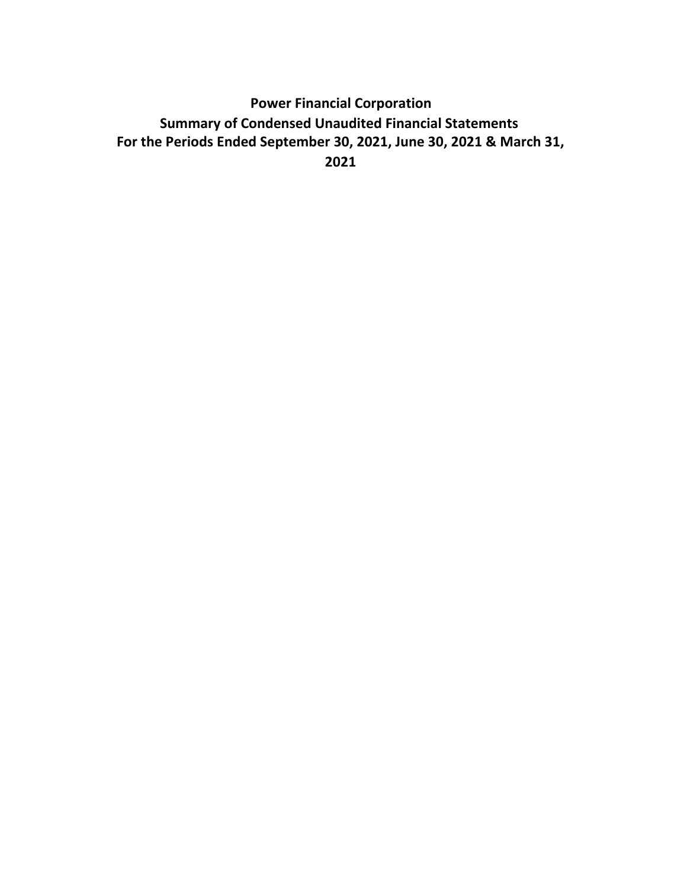# **Power Financial Corporation Summary of Condensed Unaudited Financial Statements For the Periods Ended September 30, 2021, June 30, 2021 & March 31, 2021**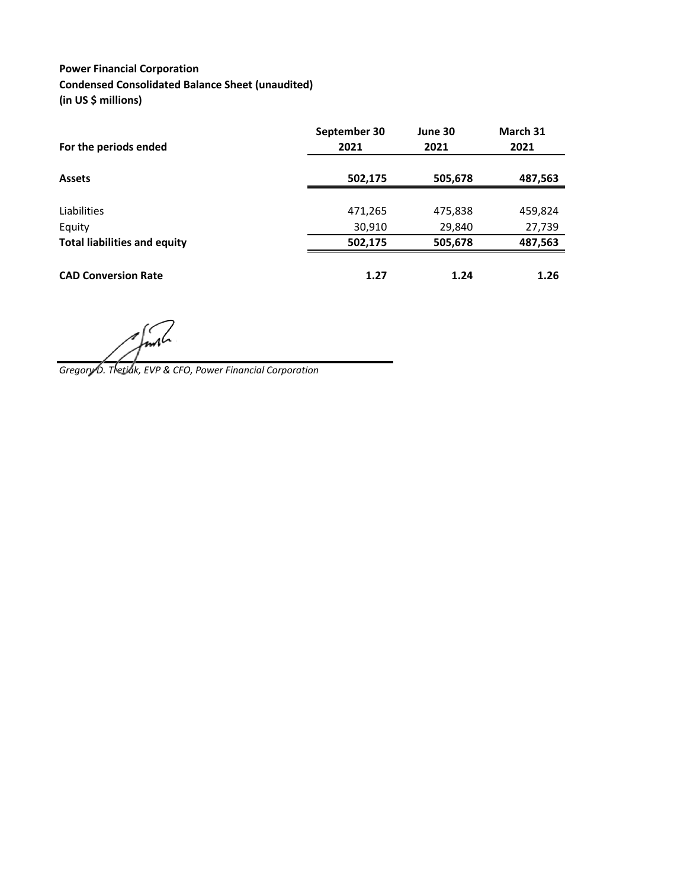### **Power Financial Corporation Condensed Consolidated Balance Sheet (unaudited) (in US \$ millions)**

|                                     | September 30<br>2021 | June 30 | March 31 |
|-------------------------------------|----------------------|---------|----------|
| For the periods ended               |                      | 2021    | 2021     |
| <b>Assets</b>                       | 502,175              | 505,678 | 487,563  |
|                                     |                      |         |          |
| Liabilities                         | 471,265              | 475,838 | 459,824  |
| Equity                              | 30,910               | 29,840  | 27,739   |
| <b>Total liabilities and equity</b> | 502,175              | 505,678 | 487,563  |
| <b>CAD Conversion Rate</b>          | 1.27                 | 1.24    | 1.26     |

 $\epsilon$ 

*Gregory D. Tretiak, EVP & CFO, Power Financial Corporation*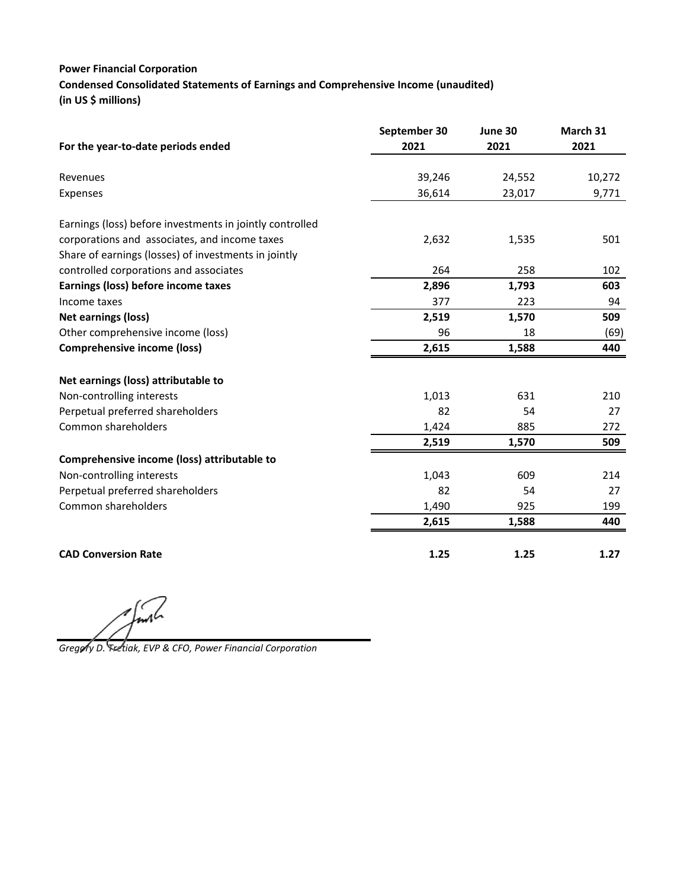### **Power Financial Corporation**

**Condensed Consolidated Statements of Earnings and Comprehensive Income (unaudited) (in US \$ millions)**

|                                                          | September 30 | June 30 | March 31 |
|----------------------------------------------------------|--------------|---------|----------|
| For the year-to-date periods ended                       | 2021         | 2021    | 2021     |
| Revenues                                                 | 39,246       | 24,552  | 10,272   |
| Expenses                                                 | 36,614       | 23,017  | 9,771    |
| Earnings (loss) before investments in jointly controlled |              |         |          |
| corporations and associates, and income taxes            | 2,632        | 1,535   | 501      |
| Share of earnings (losses) of investments in jointly     |              |         |          |
| controlled corporations and associates                   | 264          | 258     | 102      |
| Earnings (loss) before income taxes                      | 2,896        | 1,793   | 603      |
| Income taxes                                             | 377          | 223     | 94       |
| <b>Net earnings (loss)</b>                               | 2,519        | 1,570   | 509      |
| Other comprehensive income (loss)                        | 96           | 18      | (69)     |
| <b>Comprehensive income (loss)</b>                       | 2,615        | 1,588   | 440      |
| Net earnings (loss) attributable to                      |              |         |          |
| Non-controlling interests                                | 1,013        | 631     | 210      |
| Perpetual preferred shareholders                         | 82           | 54      | 27       |
| Common shareholders                                      | 1,424        | 885     | 272      |
|                                                          | 2,519        | 1,570   | 509      |
| Comprehensive income (loss) attributable to              |              |         |          |
| Non-controlling interests                                | 1,043        | 609     | 214      |
| Perpetual preferred shareholders                         | 82           | 54      | 27       |
| Common shareholders                                      | 1,490        | 925     | 199      |
|                                                          | 2,615        | 1,588   | 440      |
| <b>CAD Conversion Rate</b>                               | 1.25         | 1.25    | 1.27     |

*Gregory D. Tretiak, EVP & CFO, Power Financial Corporation*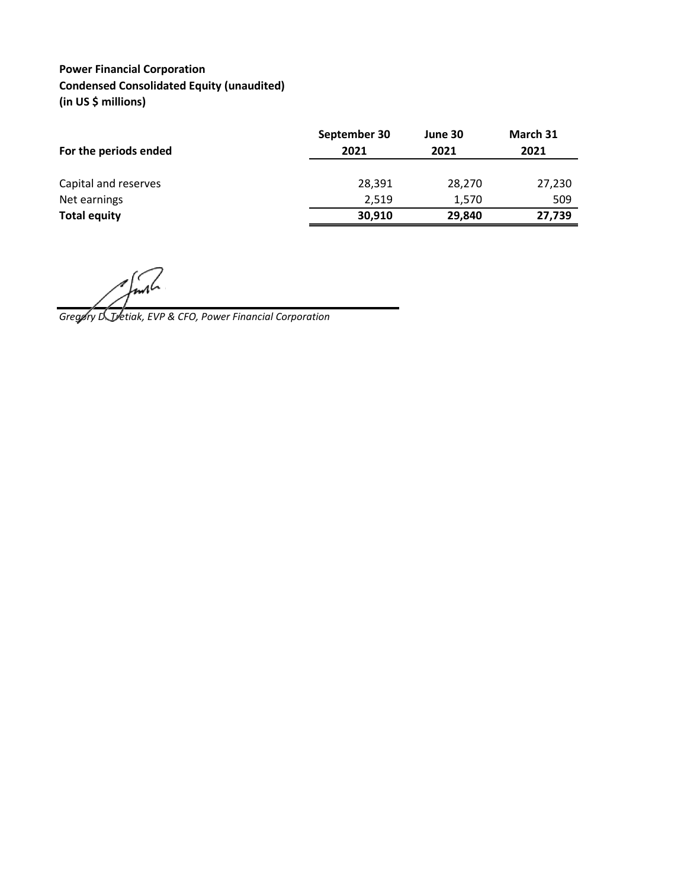# **Power Financial Corporation Condensed Consolidated Equity (unaudited) (in US \$ millions)**

| For the periods ended | September 30<br>2021 | June 30<br>2021 | March 31<br>2021 |
|-----------------------|----------------------|-----------------|------------------|
| Capital and reserves  | 28,391               | 28,270          | 27,230           |
| Net earnings          | 2,519                | 1,570           | 509              |
| <b>Total equity</b>   | 30,910               | 29,840          | 27,739           |
|                       |                      |                 |                  |

*Gregory D. Tretiak, EVP & CFO, Power Financial Corporation*